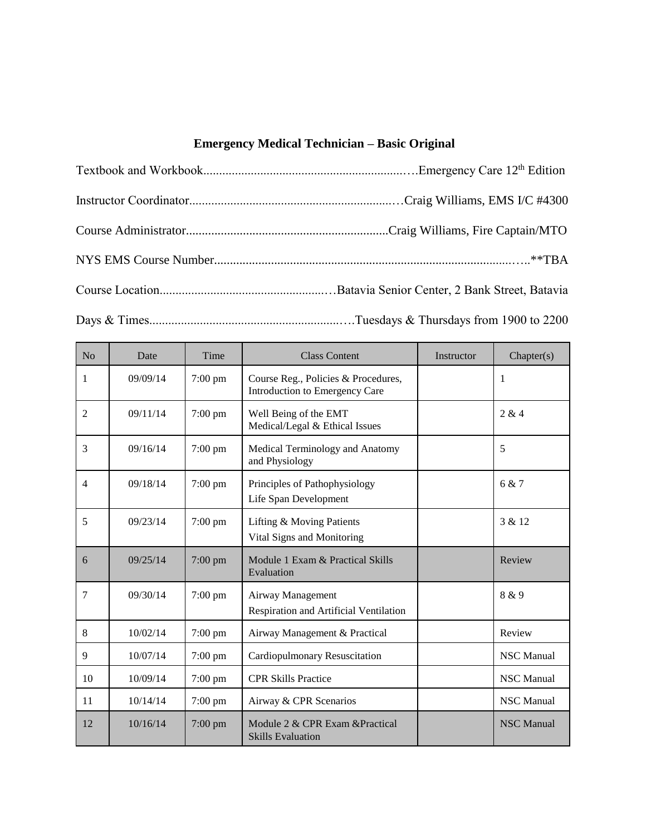## **Emergency Medical Technician** *–* **Basic Original**

| N <sub>o</sub> | Date     | Time              | <b>Class Content</b>                                                  | Instructor | Chapter(s)        |
|----------------|----------|-------------------|-----------------------------------------------------------------------|------------|-------------------|
| 1              | 09/09/14 | $7:00$ pm         | Course Reg., Policies & Procedures,<br>Introduction to Emergency Care |            | 1                 |
| $\overline{2}$ | 09/11/14 | 7:00 pm           | Well Being of the EMT<br>Medical/Legal & Ethical Issues               |            | 2 & 4             |
| 3              | 09/16/14 | 7:00 pm           | Medical Terminology and Anatomy<br>and Physiology                     |            | 5                 |
| $\overline{4}$ | 09/18/14 | 7:00 pm           | Principles of Pathophysiology<br>Life Span Development                |            | 6 & 7             |
| 5              | 09/23/14 | $7:00$ pm         | Lifting & Moving Patients<br>Vital Signs and Monitoring               |            | 3 & 12            |
| 6              | 09/25/14 | $7:00$ pm         | Module 1 Exam & Practical Skills<br>Evaluation                        |            | Review            |
| 7              | 09/30/14 | $7:00$ pm         | Airway Management<br>Respiration and Artificial Ventilation           |            | 8 & 9             |
| 8              | 10/02/14 | $7:00$ pm         | Airway Management & Practical                                         |            | Review            |
| 9              | 10/07/14 | $7:00 \text{ pm}$ | <b>Cardiopulmonary Resuscitation</b>                                  |            | <b>NSC</b> Manual |
| 10             | 10/09/14 | $7:00$ pm         | <b>CPR Skills Practice</b>                                            |            | <b>NSC</b> Manual |
| 11             | 10/14/14 | $7:00 \text{ pm}$ | Airway & CPR Scenarios                                                |            | NSC Manual        |
| 12             | 10/16/14 | 7:00 pm           | Module 2 & CPR Exam & Practical<br><b>Skills Evaluation</b>           |            | <b>NSC</b> Manual |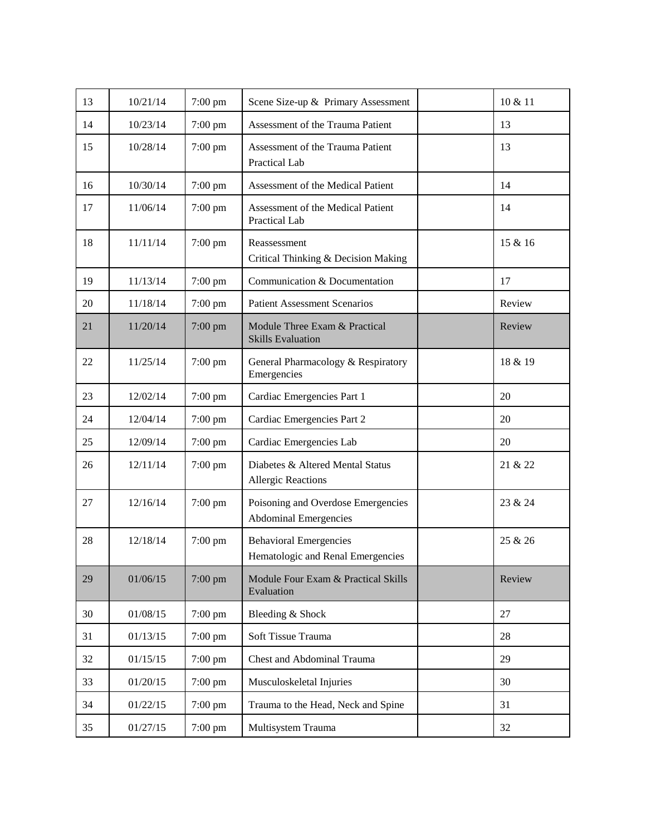| 13 | 10/21/14 | $7:00$ pm | Scene Size-up & Primary Assessment                                 | 10 & 11 |
|----|----------|-----------|--------------------------------------------------------------------|---------|
| 14 | 10/23/14 | 7:00 pm   | Assessment of the Trauma Patient                                   | 13      |
| 15 | 10/28/14 | $7:00$ pm | Assessment of the Trauma Patient<br>Practical Lab                  | 13      |
| 16 | 10/30/14 | $7:00$ pm | Assessment of the Medical Patient                                  | 14      |
| 17 | 11/06/14 | 7:00 pm   | Assessment of the Medical Patient<br>Practical Lab                 | 14      |
| 18 | 11/11/14 | $7:00$ pm | Reassessment<br>Critical Thinking & Decision Making                | 15 & 16 |
| 19 | 11/13/14 | $7:00$ pm | Communication & Documentation                                      | 17      |
| 20 | 11/18/14 | $7:00$ pm | <b>Patient Assessment Scenarios</b>                                | Review  |
| 21 | 11/20/14 | $7:00$ pm | Module Three Exam & Practical<br><b>Skills Evaluation</b>          | Review  |
| 22 | 11/25/14 | $7:00$ pm | General Pharmacology & Respiratory<br>Emergencies                  | 18 & 19 |
| 23 | 12/02/14 | 7:00 pm   | Cardiac Emergencies Part 1                                         | 20      |
| 24 | 12/04/14 | $7:00$ pm | Cardiac Emergencies Part 2                                         | 20      |
| 25 | 12/09/14 | 7:00 pm   | Cardiac Emergencies Lab                                            | 20      |
| 26 | 12/11/14 | $7:00$ pm | Diabetes & Altered Mental Status<br><b>Allergic Reactions</b>      | 21 & 22 |
| 27 | 12/16/14 | $7:00$ pm | Poisoning and Overdose Emergencies<br><b>Abdominal Emergencies</b> | 23 & 24 |
| 28 | 12/18/14 | $7:00$ pm | <b>Behavioral Emergencies</b><br>Hematologic and Renal Emergencies | 25 & 26 |
| 29 | 01/06/15 | 7:00 pm   | Module Four Exam & Practical Skills<br>Evaluation                  | Review  |
| 30 | 01/08/15 | $7:00$ pm | Bleeding & Shock                                                   | 27      |
| 31 | 01/13/15 | 7:00 pm   | Soft Tissue Trauma                                                 | 28      |
| 32 | 01/15/15 | 7:00 pm   | <b>Chest and Abdominal Trauma</b>                                  | 29      |
| 33 | 01/20/15 | 7:00 pm   | Musculoskeletal Injuries                                           | 30      |
| 34 | 01/22/15 | $7:00$ pm | Trauma to the Head, Neck and Spine                                 | 31      |
| 35 | 01/27/15 | 7:00 pm   | Multisystem Trauma                                                 | 32      |